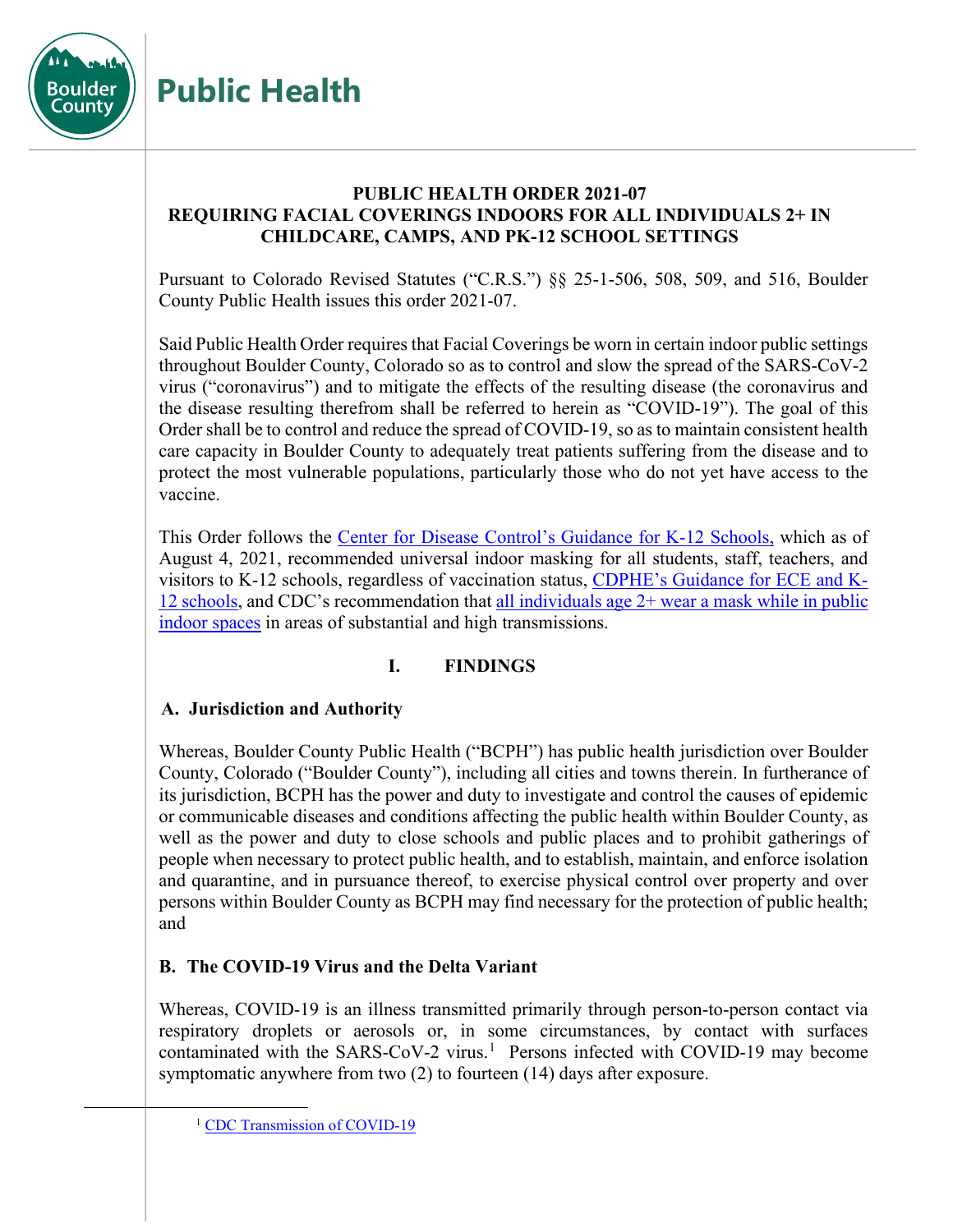

# **PUBLIC HEALTH ORDER 2021-07 REQUIRING FACIAL COVERINGS INDOORS FOR ALL INDIVIDUALS 2+ IN CHILDCARE, CAMPS, AND PK-12 SCHOOL SETTINGS**

Pursuant to Colorado Revised Statutes ("C.R.S.") §§ 25-1-506, 508, 509, and 516, Boulder County Public Health issues this order 2021-07.

Said Public Health Order requires that Facial Coverings be worn in certain indoor public settings throughout Boulder County, Colorado so as to control and slow the spread of the SARS-CoV-2 virus ("coronavirus") and to mitigate the effects of the resulting disease (the coronavirus and the disease resulting therefrom shall be referred to herein as "COVID-19"). The goal of this Order shall be to control and reduce the spread of COVID-19, so as to maintain consistent health care capacity in Boulder County to adequately treat patients suffering from the disease and to protect the most vulnerable populations, particularly those who do not yet have access to the vaccine.

This Order follows the [Center for Disease Control's Guidance for K-12 Schools,](https://www.cdc.gov/coronavirus/2019-ncov/community/schools-childcare/k-12-guidance.html) which as of August 4, 2021, recommended universal indoor masking for all students, staff, teachers, and visitors to K-12 schools, regardless of vaccination status, [CDPHE's Guidance for ECE and K-](https://covid19.colorado.gov/practical-guide-for-operationalizing-cdc-school-guidance)[12 schools,](https://covid19.colorado.gov/practical-guide-for-operationalizing-cdc-school-guidance) and CDC's recommendation that [all individuals age 2+ wear a mask while in public](https://www.cdc.gov/coronavirus/2019-ncov/vaccines/fully-vaccinated.html)  [indoor spaces](https://www.cdc.gov/coronavirus/2019-ncov/vaccines/fully-vaccinated.html) in areas of substantial and high transmissions.

## **I. FINDINGS**

# **A. Jurisdiction and Authority**

**Public Health**

Whereas, Boulder County Public Health ("BCPH") has public health jurisdiction over Boulder County, Colorado ("Boulder County"), including all cities and towns therein. In furtherance of its jurisdiction, BCPH has the power and duty to investigate and control the causes of epidemic or communicable diseases and conditions affecting the public health within Boulder County, as well as the power and duty to close schools and public places and to prohibit gatherings of people when necessary to protect public health, and to establish, maintain, and enforce isolation and quarantine, and in pursuance thereof, to exercise physical control over property and over persons within Boulder County as BCPH may find necessary for the protection of public health; and

# **B. The COVID-19 Virus and the Delta Variant**

Whereas, COVID-19 is an illness transmitted primarily through person-to-person contact via respiratory droplets or aerosols or, in some circumstances, by contact with surfaces contaminated with the SARS-CoV-2 virus.<sup>[1](#page-0-0)</sup> Persons infected with COVID-19 may become symptomatic anywhere from two (2) to fourteen (14) days after exposure.

<span id="page-0-0"></span><sup>&</sup>lt;sup>1</sup> [CDC Transmission of COVID-19](https://www.cdc.gov/coronavirus/2019-ncov/transmission/index.html)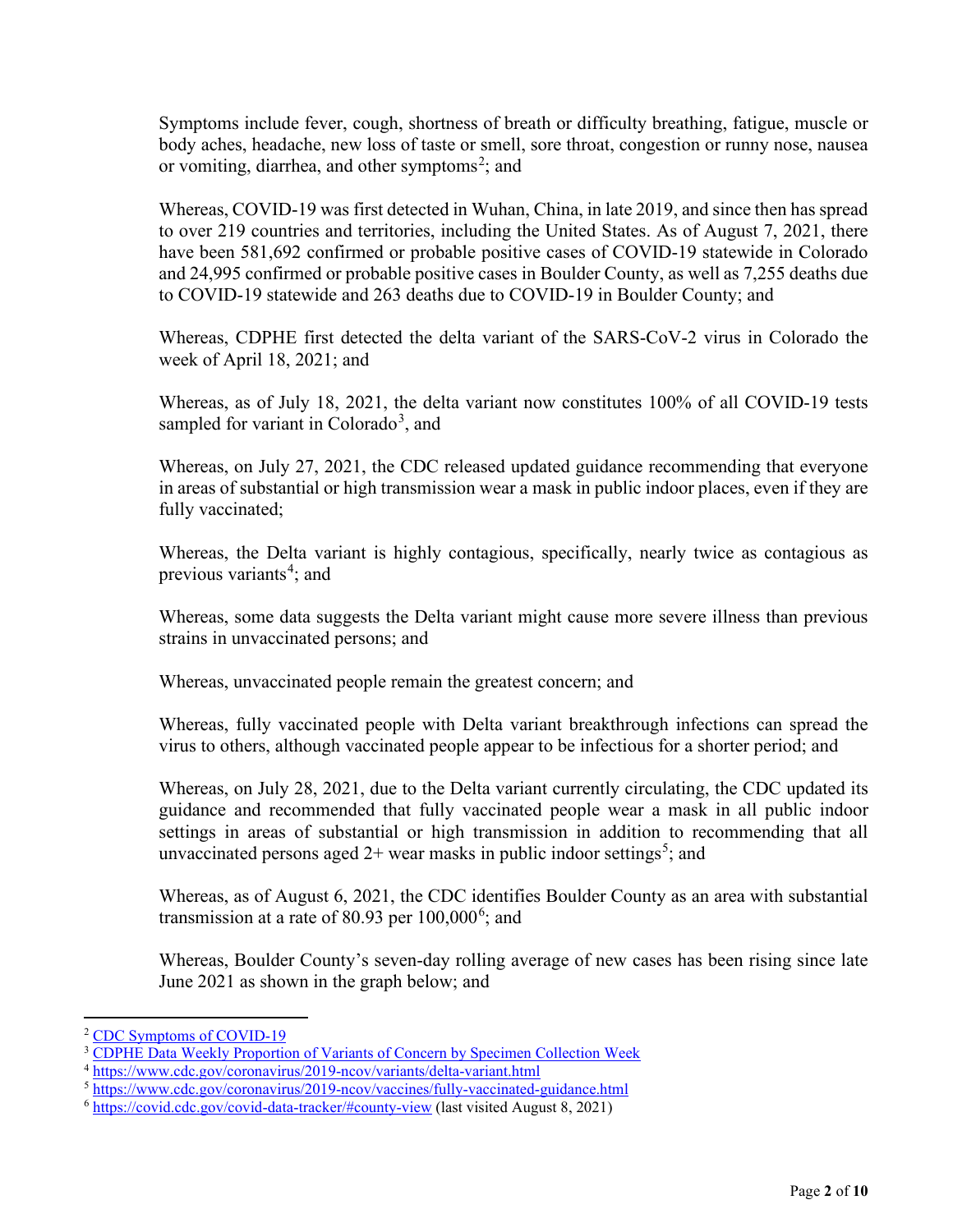Symptoms include fever, cough, shortness of breath or difficulty breathing, fatigue, muscle or body aches, headache, new loss of taste or smell, sore throat, congestion or runny nose, nausea or vomiting, diarrhea, and other symptoms<sup>[2](#page-1-0)</sup>; and

Whereas, COVID-19 was first detected in Wuhan, China, in late 2019, and since then has spread to over 219 countries and territories, including the United States. As of August 7, 2021, there have been 581,692 confirmed or probable positive cases of COVID-19 statewide in Colorado and 24,995 confirmed or probable positive cases in Boulder County, as well as 7,255 deaths due to COVID-19 statewide and 263 deaths due to COVID-19 in Boulder County; and

Whereas, CDPHE first detected the delta variant of the SARS-CoV-2 virus in Colorado the week of April 18, 2021; and

Whereas, as of July 18, 2021, the delta variant now constitutes 100% of all COVID-19 tests sampled for variant in Colorado<sup>[3](#page-1-1)</sup>, and

Whereas, on July 27, 2021, the CDC released updated guidance recommending that everyone in areas of substantial or high transmission wear a mask in public indoor places, even if they are fully vaccinated;

Whereas, the Delta variant is highly contagious, specifically, nearly twice as contagious as previous variants<sup>[4](#page-1-2)</sup>; and

Whereas, some data suggests the Delta variant might cause more severe illness than previous strains in unvaccinated persons; and

Whereas, unvaccinated people remain the greatest concern; and

Whereas, fully vaccinated people with Delta variant breakthrough infections can spread the virus to others, although vaccinated people appear to be infectious for a shorter period; and

Whereas, on July 28, 2021, due to the Delta variant currently circulating, the CDC updated its guidance and recommended that fully vaccinated people wear a mask in all public indoor settings in areas of substantial or high transmission in addition to recommending that all unvaccinated persons aged  $2+$  wear masks in public indoor settings<sup>[5](#page-1-3)</sup>; and

Whereas, as of August 6, 2021, the CDC identifies Boulder County as an area with substantial transmission at a rate of 80.93 per  $100,000^6$  $100,000^6$ ; and

Whereas, Boulder County's seven-day rolling average of new cases has been rising since late June 2021 as shown in the graph below; and

<span id="page-1-0"></span><sup>2</sup> [CDC Symptoms of COVID-19](https://www.cdc.gov/coronavirus/2019-ncov/symptoms-testing/symptoms.html)

<span id="page-1-2"></span><span id="page-1-1"></span><sup>&</sup>lt;sup>3</sup> [CDPHE Data Weekly Proportion of Variants of Concern by Specimen Collection Week](https://covid19.colorado.gov/data)

<sup>4</sup> <https://www.cdc.gov/coronavirus/2019-ncov/variants/delta-variant.html>

<span id="page-1-3"></span><sup>5</sup> <https://www.cdc.gov/coronavirus/2019-ncov/vaccines/fully-vaccinated-guidance.html>

<span id="page-1-4"></span><sup>6</sup> <https://covid.cdc.gov/covid-data-tracker/#county-view> (last visited August 8, 2021)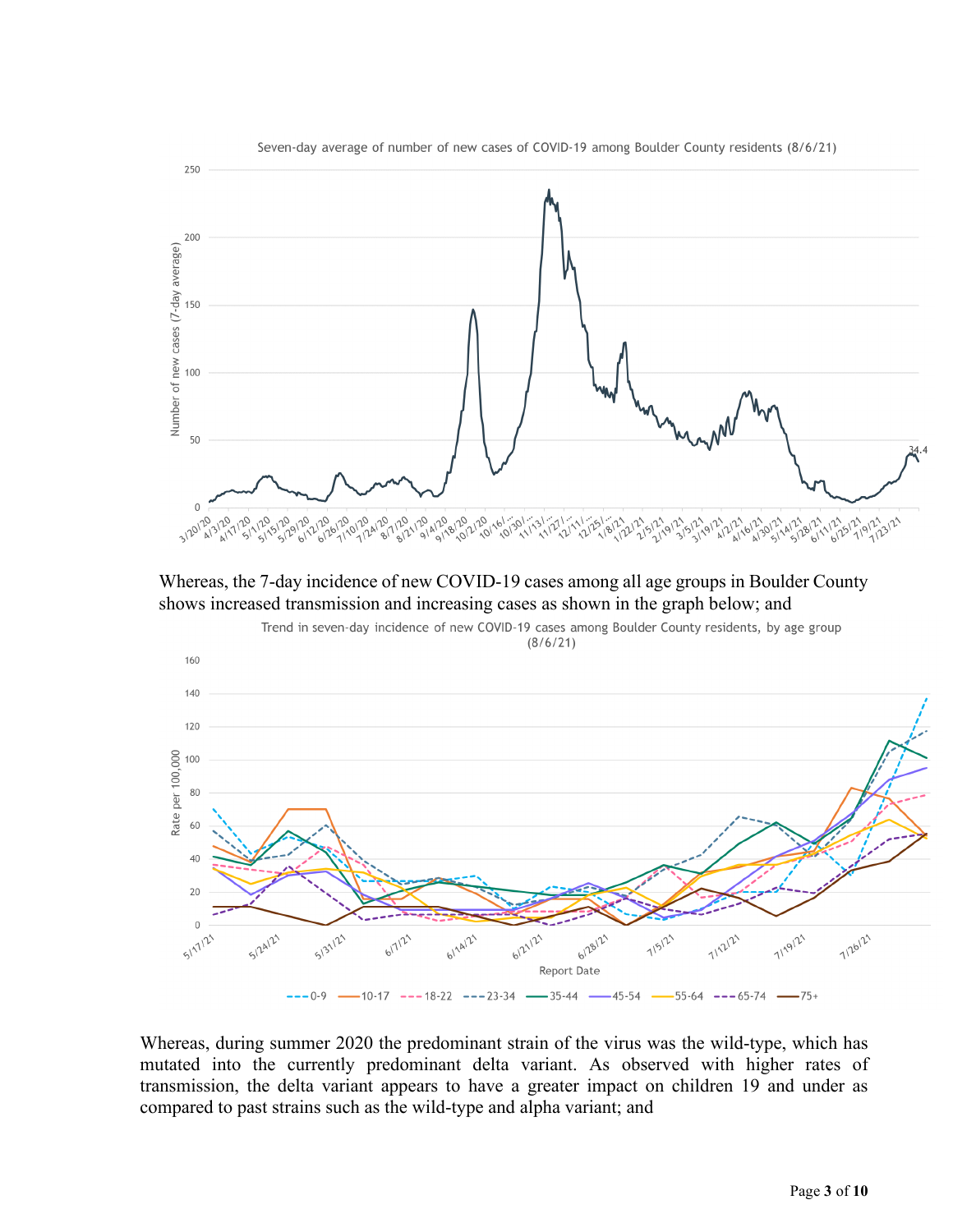

Whereas, the 7-day incidence of new COVID-19 cases among all age groups in Boulder County shows increased transmission and increasing cases as shown in the graph below; and



Whereas, during summer 2020 the predominant strain of the virus was the wild-type, which has mutated into the currently predominant delta variant. As observed with higher rates of transmission, the delta variant appears to have a greater impact on children 19 and under as compared to past strains such as the wild-type and alpha variant; and

Page **3** of **10**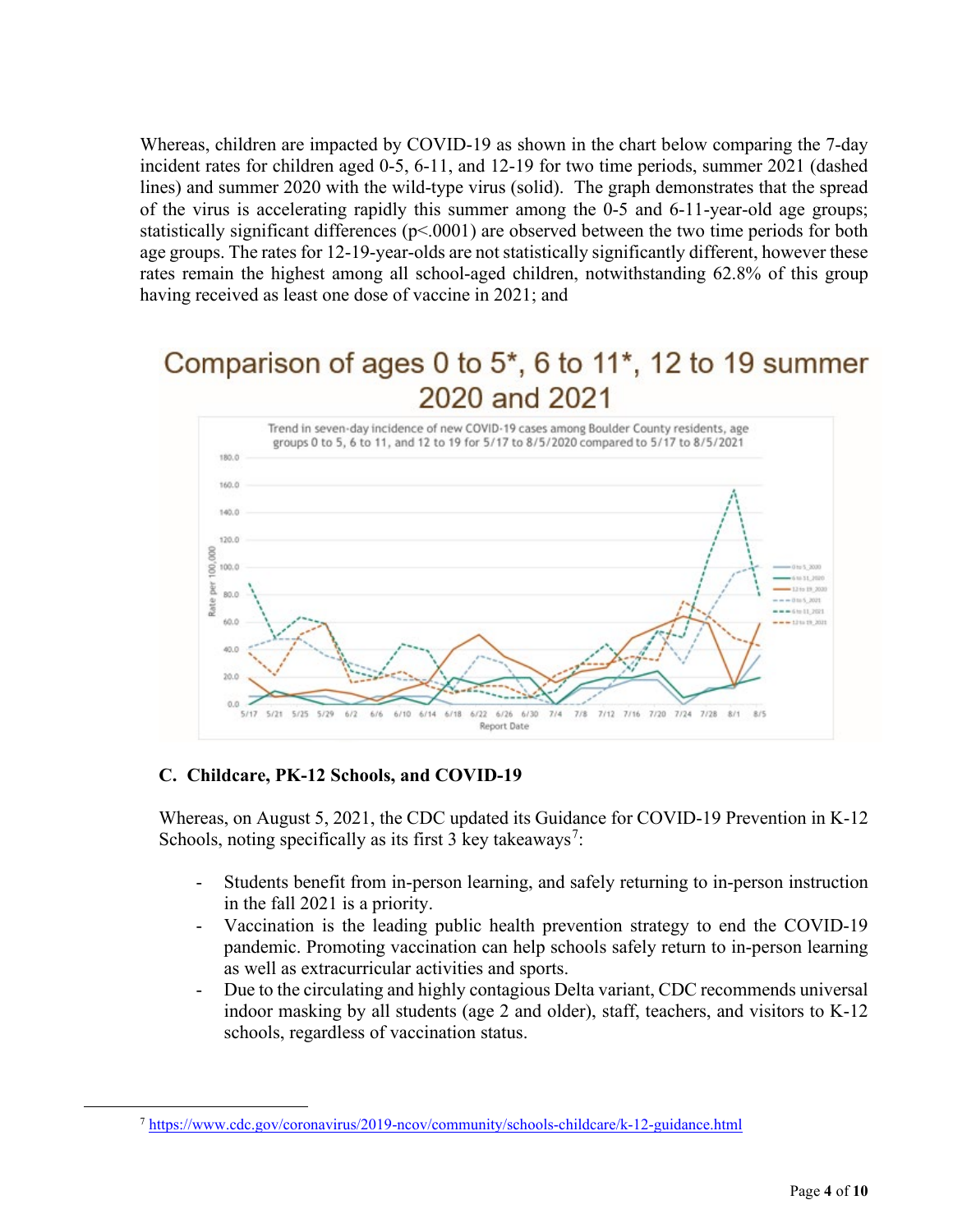Whereas, children are impacted by COVID-19 as shown in the chart below comparing the 7-day incident rates for children aged 0-5, 6-11, and 12-19 for two time periods, summer 2021 (dashed lines) and summer 2020 with the wild-type virus (solid). The graph demonstrates that the spread of the virus is accelerating rapidly this summer among the 0-5 and 6-11-year-old age groups; statistically significant differences (p<.0001) are observed between the two time periods for both age groups. The rates for 12-19-year-olds are not statistically significantly different, however these rates remain the highest among all school-aged children, notwithstanding 62.8% of this group having received as least one dose of vaccine in 2021; and

# Comparison of ages 0 to 5<sup>\*</sup>, 6 to 11<sup>\*</sup>, 12 to 19 summer 2020 and 2021



#### **C. Childcare, PK-12 Schools, and COVID-19**

Whereas, on August 5, 2021, the CDC updated its Guidance for COVID-19 Prevention in K-12 Schools, noting specifically as its first 3 key takeaways<sup>[7](#page-3-0)</sup>:

- Students benefit from in-person learning, and safely returning to in-person instruction in the fall 2021 is a priority.
- Vaccination is the leading public health prevention strategy to end the COVID-19 pandemic. Promoting vaccination can help schools safely return to in-person learning as well as extracurricular activities and sports.
- Due to the circulating and highly contagious Delta variant, CDC recommends universal indoor masking by all students (age 2 and older), staff, teachers, and visitors to K-12 schools, regardless of vaccination status.

<span id="page-3-0"></span><sup>7</sup> <https://www.cdc.gov/coronavirus/2019-ncov/community/schools-childcare/k-12-guidance.html>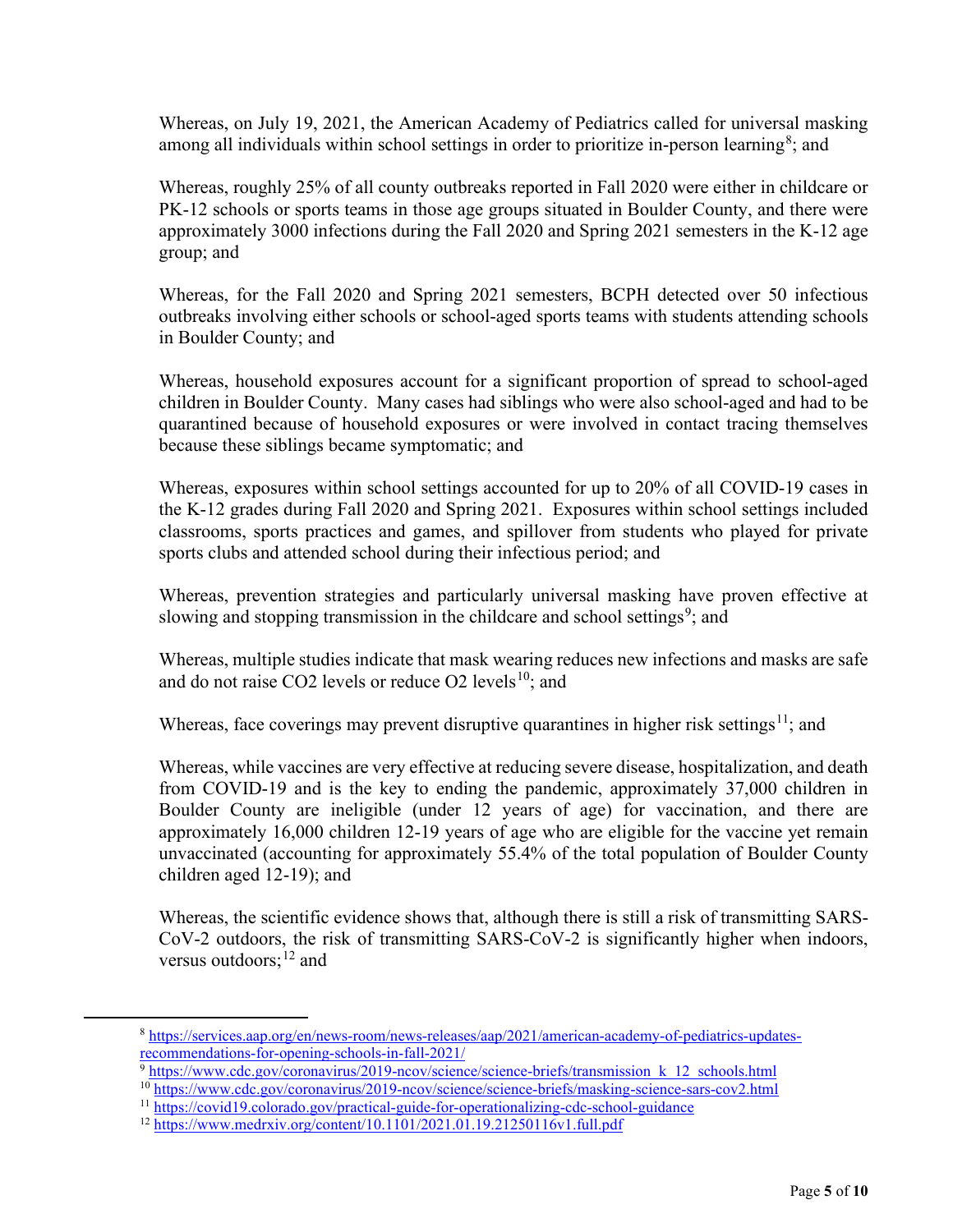Whereas, on July 19, 2021, the American Academy of Pediatrics called for universal masking among all individuals within school settings in order to prioritize in-person learning<sup>[8](#page-4-0)</sup>; and

Whereas, roughly 25% of all county outbreaks reported in Fall 2020 were either in childcare or PK-12 schools or sports teams in those age groups situated in Boulder County, and there were approximately 3000 infections during the Fall 2020 and Spring 2021 semesters in the K-12 age group; and

Whereas, for the Fall 2020 and Spring 2021 semesters, BCPH detected over 50 infectious outbreaks involving either schools or school-aged sports teams with students attending schools in Boulder County; and

Whereas, household exposures account for a significant proportion of spread to school-aged children in Boulder County. Many cases had siblings who were also school-aged and had to be quarantined because of household exposures or were involved in contact tracing themselves because these siblings became symptomatic; and

Whereas, exposures within school settings accounted for up to 20% of all COVID-19 cases in the K-12 grades during Fall 2020 and Spring 2021. Exposures within school settings included classrooms, sports practices and games, and spillover from students who played for private sports clubs and attended school during their infectious period; and

Whereas, prevention strategies and particularly universal masking have proven effective at slowing and stopping transmission in the childcare and school settings<sup>[9](#page-4-1)</sup>; and

Whereas, multiple studies indicate that mask wearing reduces new infections and masks are safe and do not raise CO2 levels or reduce O2 levels $10$ : and

Whereas, face coverings may prevent disruptive quarantines in higher risk settings<sup>[11](#page-4-3)</sup>; and

Whereas, while vaccines are very effective at reducing severe disease, hospitalization, and death from COVID-19 and is the key to ending the pandemic, approximately 37,000 children in Boulder County are ineligible (under 12 years of age) for vaccination, and there are approximately 16,000 children 12-19 years of age who are eligible for the vaccine yet remain unvaccinated (accounting for approximately 55.4% of the total population of Boulder County children aged 12-19); and

Whereas, the scientific evidence shows that, although there is still a risk of transmitting SARS-CoV-2 outdoors, the risk of transmitting SARS-CoV-2 is significantly higher when indoors, versus outdoors;  $^{12}$  and

<span id="page-4-2"></span><span id="page-4-1"></span><sup>10</sup> <https://www.cdc.gov/coronavirus/2019-ncov/science/science-briefs/masking-science-sars-cov2.html>

<span id="page-4-0"></span><sup>8</sup> [https://services.aap.org/en/news-room/news-releases/aap/2021/american-academy-of-pediatrics-updates](https://services.aap.org/en/news-room/news-releases/aap/2021/american-academy-of-pediatrics-updates-recommendations-for-opening-schools-in-fall-2021/)[recommendations-for-opening-schools-in-fall-2021/](https://services.aap.org/en/news-room/news-releases/aap/2021/american-academy-of-pediatrics-updates-recommendations-for-opening-schools-in-fall-2021/)

<sup>&</sup>lt;sup>9</sup> https://www.cdc.gov/coronavirus/2019-ncov/science/science-briefs/transmission k 12 schools.html

<span id="page-4-3"></span><sup>11</sup> <https://covid19.colorado.gov/practical-guide-for-operationalizing-cdc-school-guidance>

<span id="page-4-4"></span><sup>12</sup> <https://www.medrxiv.org/content/10.1101/2021.01.19.21250116v1.full.pdf>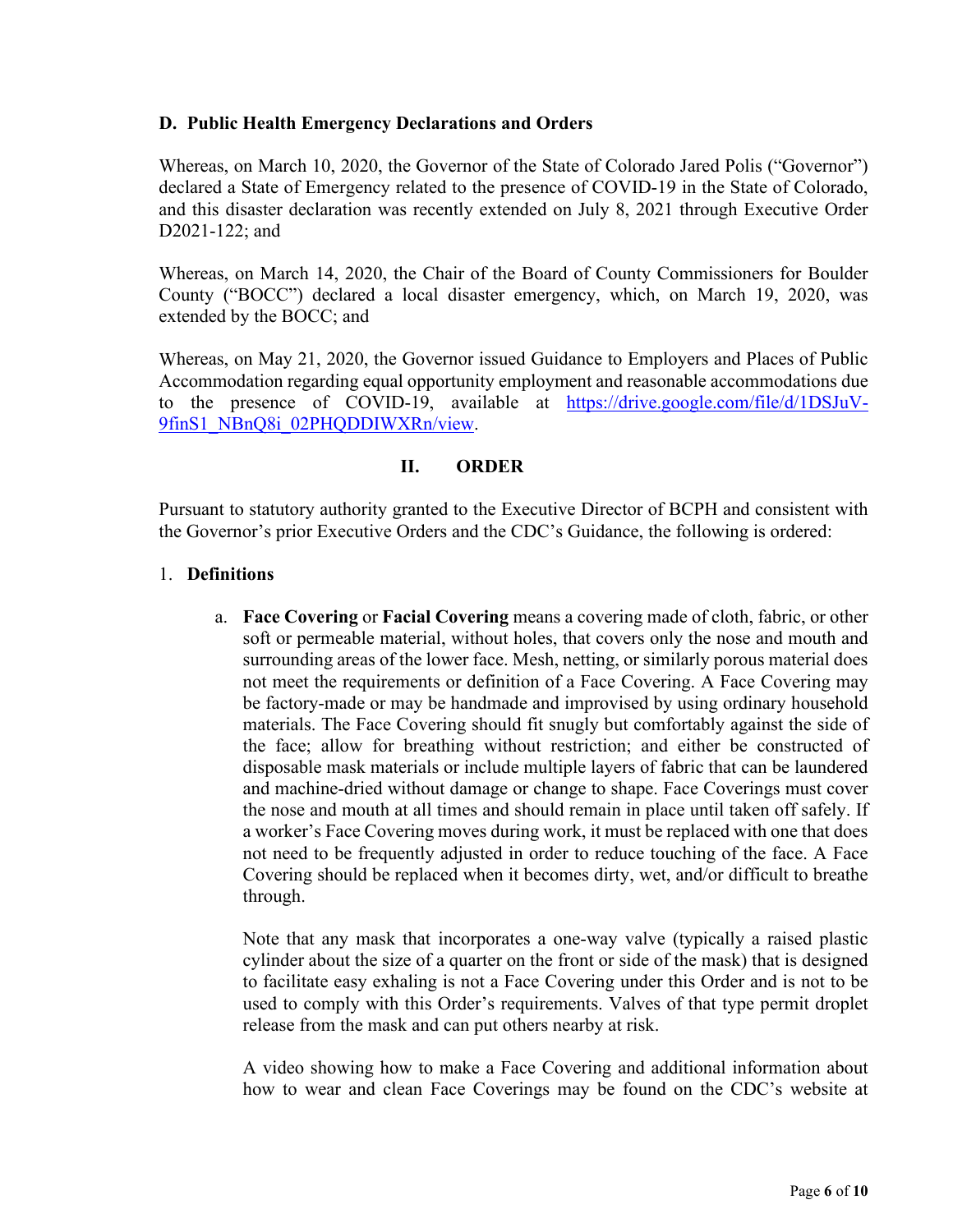#### **D. Public Health Emergency Declarations and Orders**

Whereas, on March 10, 2020, the Governor of the State of Colorado Jared Polis ("Governor") declared a State of Emergency related to the presence of COVID-19 in the State of Colorado, and this disaster declaration was recently extended on July 8, 2021 through Executive Order D2021-122; and

Whereas, on March 14, 2020, the Chair of the Board of County Commissioners for Boulder County ("BOCC") declared a local disaster emergency, which, on March 19, 2020, was extended by the BOCC; and

Whereas, on May 21, 2020, the Governor issued Guidance to Employers and Places of Public Accommodation regarding equal opportunity employment and reasonable accommodations due to the presence of COVID-19, available at [https://drive.google.com/file/d/1DSJuV-](https://drive.google.com/file/d/1DSJuV-9finS1_NBnQ8i_02PHQDDIWXRn/view)[9finS1\\_NBnQ8i\\_02PHQDDIWXRn/view.](https://drive.google.com/file/d/1DSJuV-9finS1_NBnQ8i_02PHQDDIWXRn/view)

## **II. ORDER**

Pursuant to statutory authority granted to the Executive Director of BCPH and consistent with the Governor's prior Executive Orders and the CDC's Guidance, the following is ordered:

## 1. **Definitions**

a. **Face Covering** or **Facial Covering** means a covering made of cloth, fabric, or other soft or permeable material, without holes, that covers only the nose and mouth and surrounding areas of the lower face. Mesh, netting, or similarly porous material does not meet the requirements or definition of a Face Covering. A Face Covering may be factory-made or may be handmade and improvised by using ordinary household materials. The Face Covering should fit snugly but comfortably against the side of the face; allow for breathing without restriction; and either be constructed of disposable mask materials or include multiple layers of fabric that can be laundered and machine-dried without damage or change to shape. Face Coverings must cover the nose and mouth at all times and should remain in place until taken off safely. If a worker's Face Covering moves during work, it must be replaced with one that does not need to be frequently adjusted in order to reduce touching of the face. A Face Covering should be replaced when it becomes dirty, wet, and/or difficult to breathe through.

Note that any mask that incorporates a one-way valve (typically a raised plastic cylinder about the size of a quarter on the front or side of the mask) that is designed to facilitate easy exhaling is not a Face Covering under this Order and is not to be used to comply with this Order's requirements. Valves of that type permit droplet release from the mask and can put others nearby at risk.

A video showing how to make a Face Covering and additional information about how to wear and clean Face Coverings may be found on the CDC's website at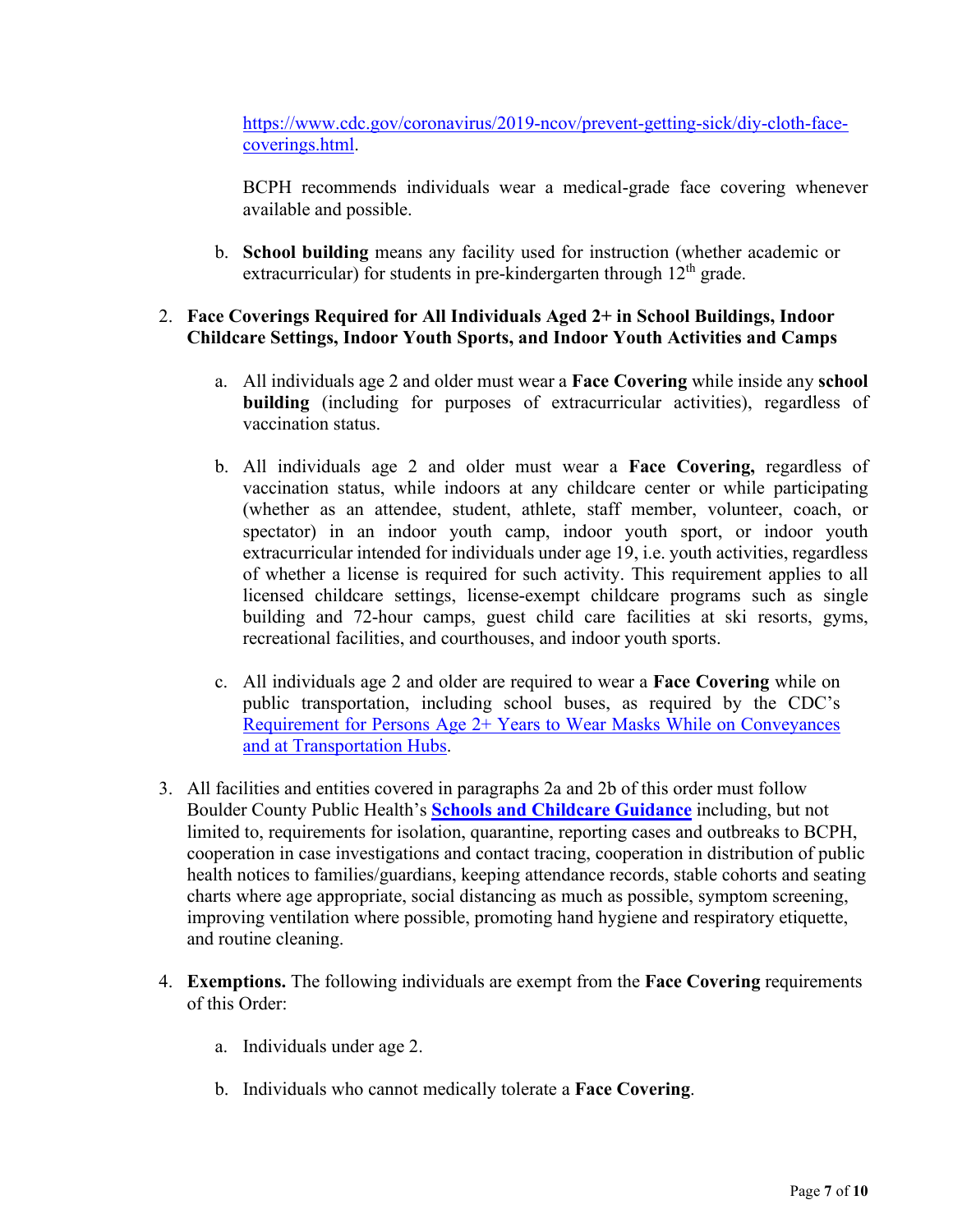[https://www.cdc.gov/coronavirus/2019-ncov/prevent-getting-sick/diy-cloth-face](https://www.cdc.gov/coronavirus/2019-ncov/prevent-getting-sick/diy-cloth-face-coverings.html)[coverings.html.](https://www.cdc.gov/coronavirus/2019-ncov/prevent-getting-sick/diy-cloth-face-coverings.html)

BCPH recommends individuals wear a medical-grade face covering whenever available and possible.

b. **School building** means any facility used for instruction (whether academic or extracurricular) for students in pre-kindergarten through  $12<sup>th</sup>$  grade.

## 2. **Face Coverings Required for All Individuals Aged 2+ in School Buildings, Indoor Childcare Settings, Indoor Youth Sports, and Indoor Youth Activities and Camps**

- a. All individuals age 2 and older must wear a **Face Covering** while inside any **school building** (including for purposes of extracurricular activities), regardless of vaccination status.
- b. All individuals age 2 and older must wear a **Face Covering,** regardless of vaccination status, while indoors at any childcare center or while participating (whether as an attendee, student, athlete, staff member, volunteer, coach, or spectator) in an indoor youth camp, indoor youth sport, or indoor youth extracurricular intended for individuals under age 19, i.e. youth activities, regardless of whether a license is required for such activity. This requirement applies to all licensed childcare settings, license-exempt childcare programs such as single building and 72-hour camps, guest child care facilities at ski resorts, gyms, recreational facilities, and courthouses, and indoor youth sports.
- c. All individuals age 2 and older are required to wear a **Face Covering** while on public transportation, including school buses, as required by the CDC's [Requirement for Persons Age 2+ Years to Wear Masks While on Conveyances](https://www.cdc.gov/quarantine/pdf/Mask-Order-CDC_GMTF_01-29-21-p.pdf) [and at Transportation Hubs.](https://www.cdc.gov/quarantine/pdf/Mask-Order-CDC_GMTF_01-29-21-p.pdf)
- 3. All facilities and entities covered in paragraphs 2a and 2b of this order must follow Boulder County Public Health's **[Schools and Childcare Guidance](https://assets.bouldercounty.org/wp-content/uploads/2021/08/BCPH-COVID-19-School-Guidance-English.pdf)** including, but not limited to, requirements for isolation, quarantine, reporting cases and outbreaks to BCPH, cooperation in case investigations and contact tracing, cooperation in distribution of public health notices to families/guardians, keeping attendance records, stable cohorts and seating charts where age appropriate, social distancing as much as possible, symptom screening, improving ventilation where possible, promoting hand hygiene and respiratory etiquette, and routine cleaning.
- 4. **Exemptions.** The following individuals are exempt from the **Face Covering** requirements of this Order:
	- a. Individuals under age 2.
	- b. Individuals who cannot medically tolerate a **Face Covering**.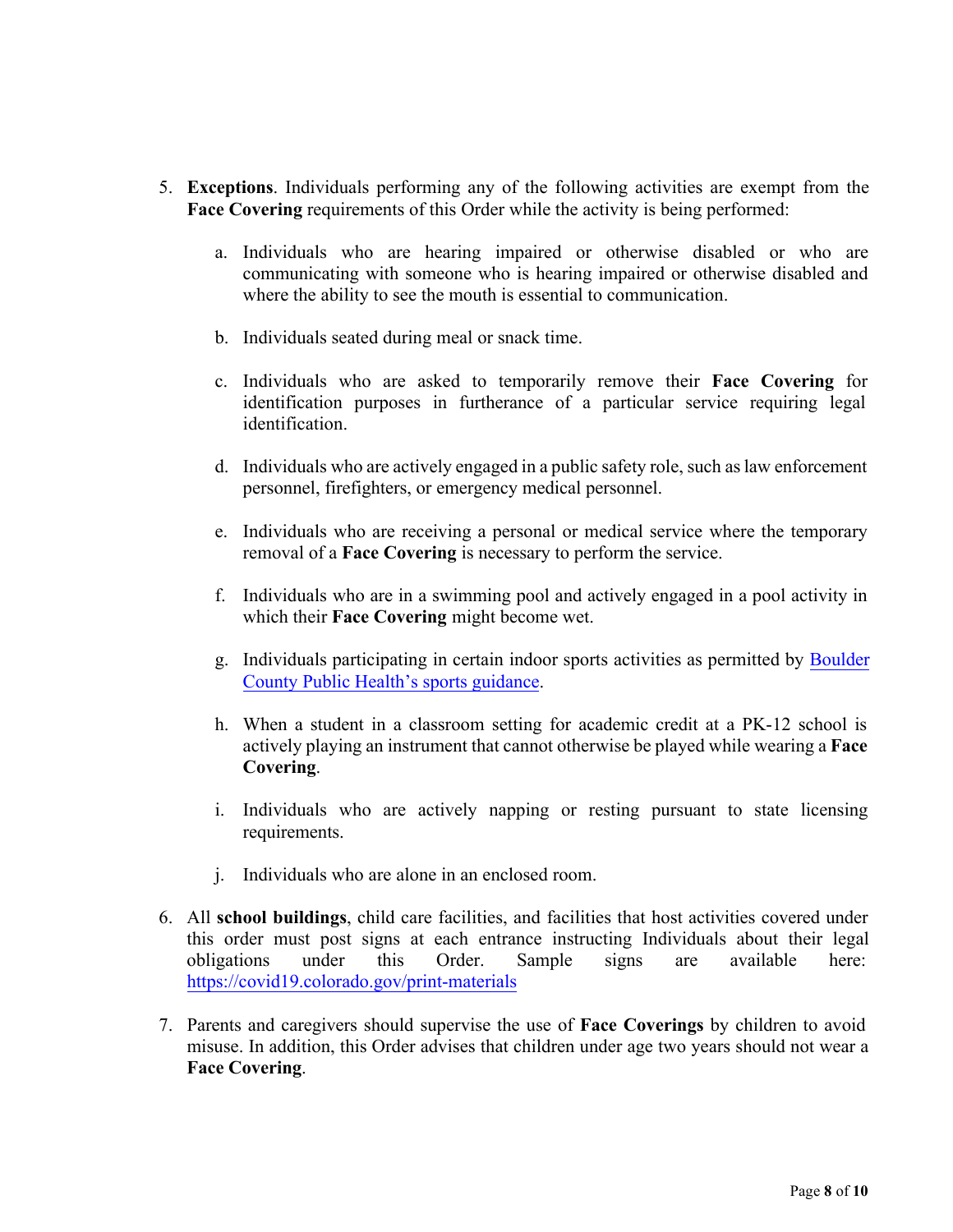- 5. **Exceptions**. Individuals performing any of the following activities are exempt from the **Face Covering** requirements of this Order while the activity is being performed:
	- a. Individuals who are hearing impaired or otherwise disabled or who are communicating with someone who is hearing impaired or otherwise disabled and where the ability to see the mouth is essential to communication.
	- b. Individuals seated during meal or snack time.
	- c. Individuals who are asked to temporarily remove their **Face Covering** for identification purposes in furtherance of a particular service requiring legal identification.
	- d. Individuals who are actively engaged in a public safety role, such as law enforcement personnel, firefighters, or emergency medical personnel.
	- e. Individuals who are receiving a personal or medical service where the temporary removal of a **Face Covering** is necessary to perform the service.
	- f. Individuals who are in a swimming pool and actively engaged in a pool activity in which their **Face Covering** might become wet.
	- g. Individuals participating in certain indoor sports activities as permitted by [Boulder](https://assets.bouldercounty.org/wp-content/uploads/2021/04/2021-april2-guidance-for-boco-sports.pdf) [County Public Health's sports guidance](https://assets.bouldercounty.org/wp-content/uploads/2021/04/2021-april2-guidance-for-boco-sports.pdf)[.](https://boco.org/face-covering-guidance-sports)
	- h. When a student in a classroom setting for academic credit at a PK-12 school is actively playing an instrument that cannot otherwise be played while wearing a **Face Covering**.
	- i. Individuals who are actively napping or resting pursuant to state licensing requirements.
	- j. Individuals who are alone in an enclosed room.
- 6. All **school buildings**, child care facilities, and facilities that host activities covered under this order must post signs at each entrance instructing Individuals about their legal obligations under this Order. Sample signs are available here: <https://covid19.colorado.gov/print-materials>
- 7. Parents and caregivers should supervise the use of **Face Coverings** by children to avoid misuse. In addition, this Order advises that children under age two years should not wear a **Face Covering**.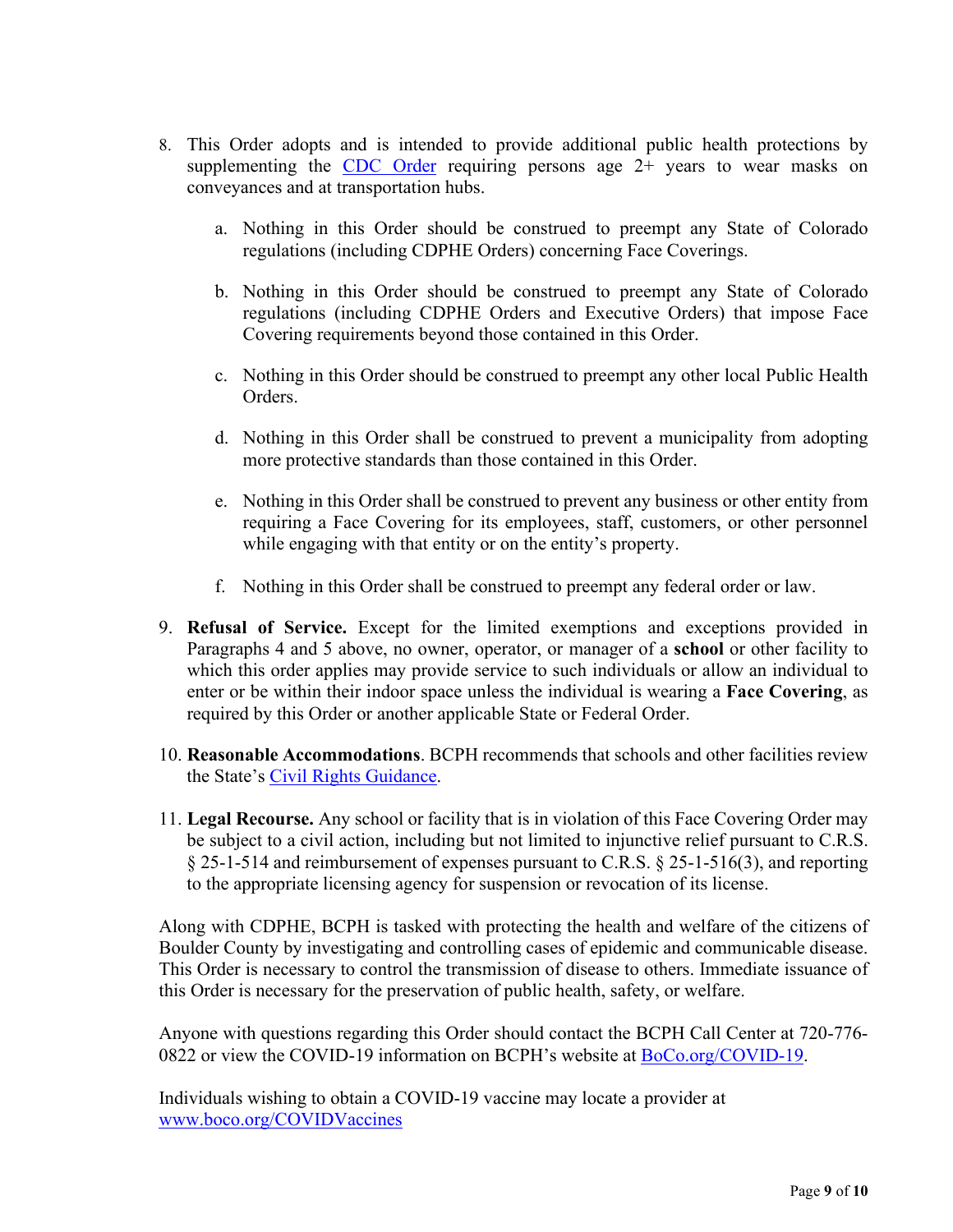- 8. This Order adopts and is intended to provide additional public health protections by supplementing the [CDC Order](https://www.cdc.gov/quarantine/pdf/Mask-Order-CDC_GMTF_01-29-21-p.pdf) requiring persons age  $2+$  years to wear masks on conveyances and at transportation hubs.
	- a. Nothing in this Order should be construed to preempt any State of Colorado regulations (including CDPHE Orders) concerning Face Coverings.
	- b. Nothing in this Order should be construed to preempt any State of Colorado regulations (including CDPHE Orders and Executive Orders) that impose Face Covering requirements beyond those contained in this Order.
	- c. Nothing in this Order should be construed to preempt any other local Public Health Orders.
	- d. Nothing in this Order shall be construed to prevent a municipality from adopting more protective standards than those contained in this Order.
	- e. Nothing in this Order shall be construed to prevent any business or other entity from requiring a Face Covering for its employees, staff, customers, or other personnel while engaging with that entity or on the entity's property.
	- f. Nothing in this Order shall be construed to preempt any federal order or law.
- 9. **Refusal of Service.** Except for the limited exemptions and exceptions provided in Paragraphs 4 and 5 above, no owner, operator, or manager of a **school** or other facility to which this order applies may provide service to such individuals or allow an individual to enter or be within their indoor space unless the individual is wearing a **Face Covering**, as required by this Order or another applicable State or Federal Order.
- 10. **Reasonable Accommodations**. BCPH recommends that schools and other facilities review the State's [Civil Rights](https://drive.google.com/file/d/1DSJuV-9finS1_NBnQ8i_02PHQDDIWXRn/view) Guidance.
- 11. **Legal Recourse.** Any school or facility that is in violation of this Face Covering Order may be subject to a civil action, including but not limited to injunctive relief pursuant to C.R.S. § 25-1-514 and reimbursement of expenses pursuant to C.R.S. § 25-1-516(3), and reporting to the appropriate licensing agency for suspension or revocation of its license.

Along with CDPHE, BCPH is tasked with protecting the health and welfare of the citizens of Boulder County by investigating and controlling cases of epidemic and communicable disease. This Order is necessary to control the transmission of disease to others. Immediate issuance of this Order is necessary for the preservation of public health, safety, or welfare.

Anyone with questions regarding this Order should contact the BCPH Call Center at 720-776- 0822 or view the COVID-19 information on BCPH's website at [BoCo.org/COVID-19.](http://www.boco.org/COVID-19)

Individuals wishing to obtain a COVID-19 vaccine may locate a provider at [www.boco.org/COVIDVaccines](http://www.boco.org/COVIDVaccines)